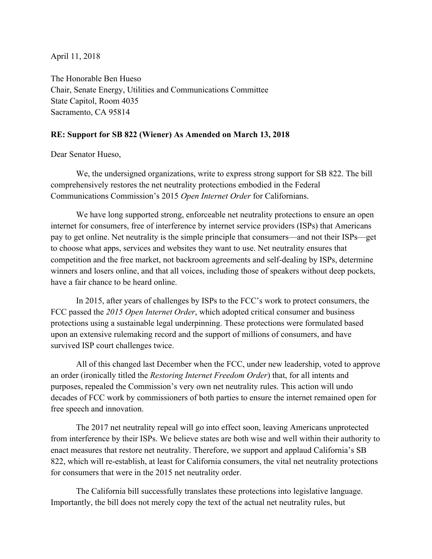April 11, 2018

The Honorable Ben Hueso Chair, Senate Energy, Utilities and Communications Committee State Capitol, Room 4035 Sacramento, CA 95814

## **RE: Support for SB 822 (Wiener) As Amended on March 13, 2018**

Dear Senator Hueso,

 We, the undersigned organizations, write to express strong support for SB 822. The bill comprehensively restores the net neutrality protections embodied in the Federal Communications Commission's 2015 *Open Internet Order* for Californians.

 We have long supported strong, enforceable net neutrality protections to ensure an open internet for consumers, free of interference by internet service providers (ISPs) that Americans pay to get online. Net neutrality is the simple principle that consumers—and not their ISPs—get to choose what apps, services and websites they want to use. Net neutrality ensures that competition and the free market, not backroom agreements and self-dealing by ISPs, determine winners and losers online, and that all voices, including those of speakers without deep pockets, have a fair chance to be heard online.

 In 2015, after years of challenges by ISPs to the FCC's work to protect consumers, the FCC passed the *2015 Open Internet Order*, which adopted critical consumer and business protections using a sustainable legal underpinning. These protections were formulated based upon an extensive rulemaking record and the support of millions of consumers, and have survived ISP court challenges twice.

 All of this changed last December when the FCC, under new leadership, voted to approve an order (ironically titled the *Restoring Internet Freedom Order*) that, for all intents and purposes, repealed the Commission's very own net neutrality rules. This action will undo decades of FCC work by commissioners of both parties to ensure the internet remained open for free speech and innovation.

 The 2017 net neutrality repeal will go into effect soon, leaving Americans unprotected from interference by their ISPs. We believe states are both wise and well within their authority to enact measures that restore net neutrality. Therefore, we support and applaud California's SB 822, which will re-establish, at least for California consumers, the vital net neutrality protections for consumers that were in the 2015 net neutrality order.

 The California bill successfully translates these protections into legislative language. Importantly, the bill does not merely copy the text of the actual net neutrality rules, but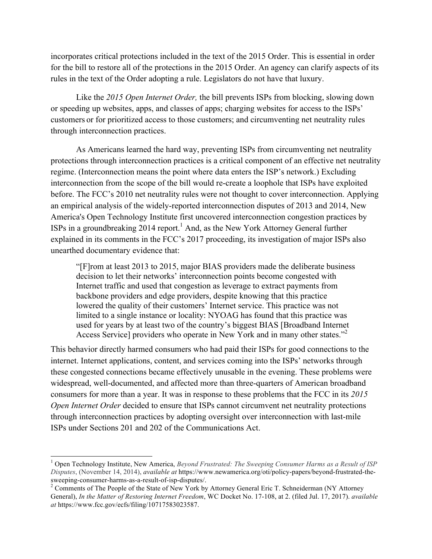incorporates critical protections included in the text of the 2015 Order. This is essential in order for the bill to restore all of the protections in the 2015 Order. An agency can clarify aspects of its rules in the text of the Order adopting a rule. Legislators do not have that luxury.

 Like the *2015 Open Internet Order,* the bill prevents ISPs from blocking, slowing down or speeding up websites, apps, and classes of apps; charging websites for access to the ISPs' customers or for prioritized access to those customers; and circumventing net neutrality rules through interconnection practices.

 As Americans learned the hard way, preventing ISPs from circumventing net neutrality protections through interconnection practices is a critical component of an effective net neutrality regime. (Interconnection means the point where data enters the ISP's network.) Excluding interconnection from the scope of the bill would re-create a loophole that ISPs have exploited before. The FCC's 2010 net neutrality rules were not thought to cover interconnection. Applying an empirical analysis of the widely-reported interconnection disputes of 2013 and 2014, New America's Open Technology Institute first uncovered interconnection congestion practices by ISPs in a groundbreaking  $2014$  report.<sup>1</sup> And, as the New York Attorney General further explained in its comments in the FCC's 2017 proceeding, its investigation of major ISPs also unearthed documentary evidence that:

"[F]rom at least 2013 to 2015, major BIAS providers made the deliberate business decision to let their networks' interconnection points become congested with Internet traffic and used that congestion as leverage to extract payments from backbone providers and edge providers, despite knowing that this practice lowered the quality of their customers' Internet service. This practice was not limited to a single instance or locality: NYOAG has found that this practice was used for years by at least two of the country's biggest BIAS [Broadband Internet Access Service] providers who operate in New York and in many other states."<sup>2</sup>

This behavior directly harmed consumers who had paid their ISPs for good connections to the internet. Internet applications, content, and services coming into the ISPs' networks through these congested connections became effectively unusable in the evening. These problems were widespread, well-documented, and affected more than three-quarters of American broadband consumers for more than a year. It was in response to these problems that the FCC in its *2015 Open Internet Order* decided to ensure that ISPs cannot circumvent net neutrality protections through interconnection practices by adopting oversight over interconnection with last-mile ISPs under Sections 201 and 202 of the Communications Act.

<sup>1</sup> Open Technology Institute, New America, *Beyond Frustrated: The Sweeping Consumer Harms as a Result of ISP Disputes*, (November 14, 2014), *available at* https://www.newamerica.org/oti/policy-papers/beyond-frustrated-thesweeping-consumer-harms-as-a-result-of-isp-disputes/.<br><sup>2</sup> Comments of The People of the State of New York by Attorney General Eric T. Schneiderman (NY Attorney

General), *In the Matter of Restoring Internet Freedom*, WC Docket No. 17-108, at 2. (filed Jul. 17, 2017). *available at* https://www.fcc.gov/ecfs/filing/10717583023587.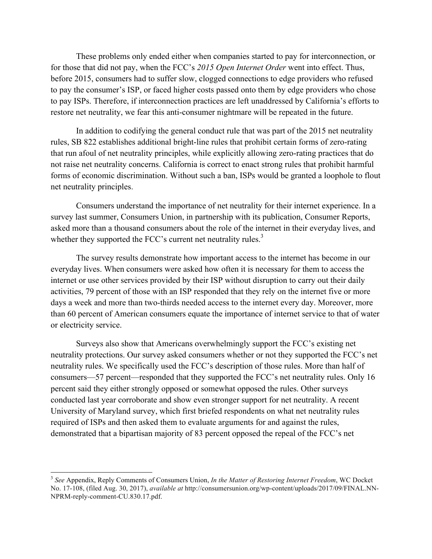These problems only ended either when companies started to pay for interconnection, or for those that did not pay, when the FCC's *2015 Open Internet Order* went into effect. Thus, before 2015, consumers had to suffer slow, clogged connections to edge providers who refused to pay the consumer's ISP, or faced higher costs passed onto them by edge providers who chose to pay ISPs. Therefore, if interconnection practices are left unaddressed by California's efforts to restore net neutrality, we fear this anti-consumer nightmare will be repeated in the future.

 In addition to codifying the general conduct rule that was part of the 2015 net neutrality rules, SB 822 establishes additional bright-line rules that prohibit certain forms of zero-rating that run afoul of net neutrality principles, while explicitly allowing zero-rating practices that do not raise net neutrality concerns. California is correct to enact strong rules that prohibit harmful forms of economic discrimination. Without such a ban, ISPs would be granted a loophole to flout net neutrality principles.

 Consumers understand the importance of net neutrality for their internet experience. In a survey last summer, Consumers Union, in partnership with its publication, Consumer Reports, asked more than a thousand consumers about the role of the internet in their everyday lives, and whether they supported the FCC's current net neutrality rules.<sup>3</sup>

 The survey results demonstrate how important access to the internet has become in our everyday lives. When consumers were asked how often it is necessary for them to access the internet or use other services provided by their ISP without disruption to carry out their daily activities, 79 percent of those with an ISP responded that they rely on the internet five or more days a week and more than two-thirds needed access to the internet every day. Moreover, more than 60 percent of American consumers equate the importance of internet service to that of water or electricity service.

 Surveys also show that Americans overwhelmingly support the FCC's existing net neutrality protections. Our survey asked consumers whether or not they supported the FCC's net neutrality rules. We specifically used the FCC's description of those rules. More than half of consumers—57 percent—responded that they supported the FCC's net neutrality rules. Only 16 percent said they either strongly opposed or somewhat opposed the rules. Other surveys conducted last year corroborate and show even stronger support for net neutrality. A recent University of Maryland survey, which first briefed respondents on what net neutrality rules required of ISPs and then asked them to evaluate arguments for and against the rules, demonstrated that a bipartisan majority of 83 percent opposed the repeal of the FCC's net

<sup>3</sup> *See* Appendix, Reply Comments of Consumers Union, *In the Matter of Restoring Internet Freedom*, WC Docket No. 17-108, (filed Aug. 30, 2017), *available at* http://consumersunion.org/wp-content/uploads/2017/09/FINAL.NN-NPRM-reply-comment-CU.830.17.pdf.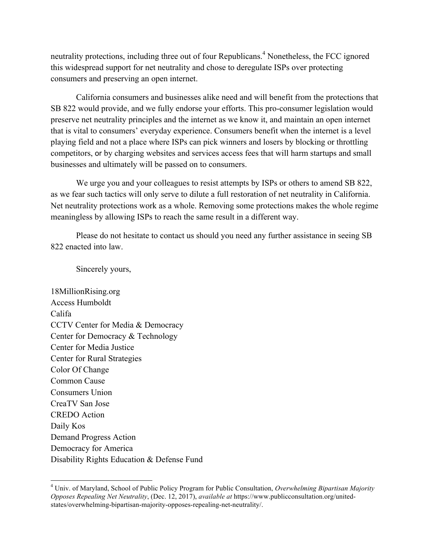neutrality protections, including three out of four Republicans.<sup>4</sup> Nonetheless, the FCC ignored this widespread support for net neutrality and chose to deregulate ISPs over protecting consumers and preserving an open internet.

 California consumers and businesses alike need and will benefit from the protections that SB 822 would provide, and we fully endorse your efforts. This pro-consumer legislation would preserve net neutrality principles and the internet as we know it, and maintain an open internet that is vital to consumers' everyday experience. Consumers benefit when the internet is a level playing field and not a place where ISPs can pick winners and losers by blocking or throttling competitors, or by charging websites and services access fees that will harm startups and small businesses and ultimately will be passed on to consumers.

We urge you and your colleagues to resist attempts by ISPs or others to amend SB 822, as we fear such tactics will only serve to dilute a full restoration of net neutrality in California. Net neutrality protections work as a whole. Removing some protections makes the whole regime meaningless by allowing ISPs to reach the same result in a different way.

 Please do not hesitate to contact us should you need any further assistance in seeing SB 822 enacted into law.

Sincerely yours,

18MillionRising.org Access Humboldt Califa CCTV Center for Media & Democracy Center for Democracy & Technology Center for Media Justice Center for Rural Strategies Color Of Change Common Cause Consumers Union CreaTV San Jose CREDO Action Daily Kos Demand Progress Action Democracy for America Disability Rights Education & Defense Fund

<sup>4</sup> Univ. of Maryland, School of Public Policy Program for Public Consultation, *Overwhelming Bipartisan Majority Opposes Repealing Net Neutrality*, (Dec. 12, 2017), *available at* https://www.publicconsultation.org/unitedstates/overwhelming-bipartisan-majority-opposes-repealing-net-neutrality/.